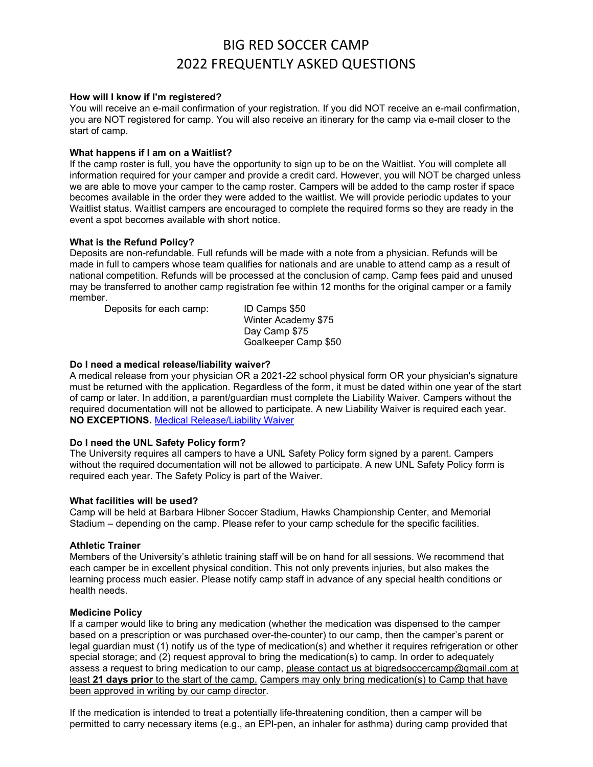# BIG RED SOCCER CAMP 2022 FREQUENTLY ASKED QUESTIONS

#### How will I know if I'm registered?

You will receive an e-mail confirmation of your registration. If you did NOT receive an e-mail confirmation, you are NOT registered for camp. You will also receive an itinerary for the camp via e-mail closer to the start of camp.

#### What happens if I am on a Waitlist?

If the camp roster is full, you have the opportunity to sign up to be on the Waitlist. You will complete all information required for your camper and provide a credit card. However, you will NOT be charged unless we are able to move your camper to the camp roster. Campers will be added to the camp roster if space becomes available in the order they were added to the waitlist. We will provide periodic updates to your Waitlist status. Waitlist campers are encouraged to complete the required forms so they are ready in the event a spot becomes available with short notice.

#### What is the Refund Policy?

Deposits are non-refundable. Full refunds will be made with a note from a physician. Refunds will be made in full to campers whose team qualifies for nationals and are unable to attend camp as a result of national competition. Refunds will be processed at the conclusion of camp. Camp fees paid and unused may be transferred to another camp registration fee within 12 months for the original camper or a family member.

 Deposits for each camp: ID Camps \$50 Winter Academy \$75 Day Camp \$75 Goalkeeper Camp \$50

#### Do I need a medical release/liability waiver?

A medical release from your physician OR a 2021-22 school physical form OR your physician's signature must be returned with the application. Regardless of the form, it must be dated within one year of the start of camp or later. In addition, a parent/guardian must complete the Liability Waiver. Campers without the required documentation will not be allowed to participate. A new Liability Waiver is required each year. NO EXCEPTIONS. Medical Release/Liability Waiver

## Do I need the UNL Safety Policy form?

The University requires all campers to have a UNL Safety Policy form signed by a parent. Campers without the required documentation will not be allowed to participate. A new UNL Safety Policy form is required each year. The Safety Policy is part of the Waiver.

#### What facilities will be used?

Camp will be held at Barbara Hibner Soccer Stadium, Hawks Championship Center, and Memorial Stadium – depending on the camp. Please refer to your camp schedule for the specific facilities.

#### Athletic Trainer

Members of the University's athletic training staff will be on hand for all sessions. We recommend that each camper be in excellent physical condition. This not only prevents injuries, but also makes the learning process much easier. Please notify camp staff in advance of any special health conditions or health needs.

#### Medicine Policy

If a camper would like to bring any medication (whether the medication was dispensed to the camper based on a prescription or was purchased over-the-counter) to our camp, then the camper's parent or legal guardian must (1) notify us of the type of medication(s) and whether it requires refrigeration or other special storage; and (2) request approval to bring the medication(s) to camp. In order to adequately assess a request to bring medication to our camp, please contact us at bigredsoccercamp@gmail.com at least 21 days prior to the start of the camp. Campers may only bring medication(s) to Camp that have been approved in writing by our camp director.

If the medication is intended to treat a potentially life-threatening condition, then a camper will be permitted to carry necessary items (e.g., an EPI-pen, an inhaler for asthma) during camp provided that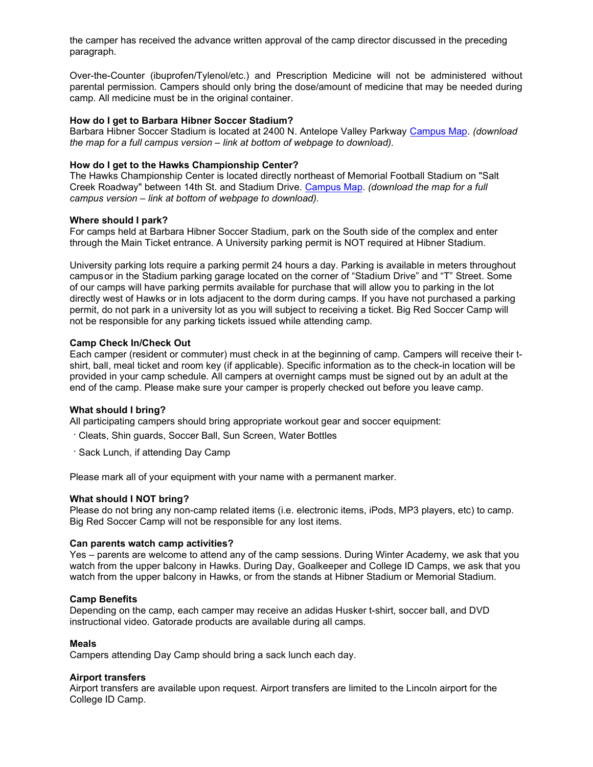the camper has received the advance written approval of the camp director discussed in the preceding paragraph.

Over-the-Counter (ibuprofen/Tylenol/etc.) and Prescription Medicine will not be administered without parental permission. Campers should only bring the dose/amount of medicine that may be needed during camp. All medicine must be in the original container.

## How do I get to Barbara Hibner Soccer Stadium?

Barbara Hibner Soccer Stadium is located at 2400 N. Antelope Valley Parkway Campus Map. (download the map for a full campus version – link at bottom of webpage to download).

# How do I get to the Hawks Championship Center?

The Hawks Championship Center is located directly northeast of Memorial Football Stadium on "Salt Creek Roadway" between 14th St. and Stadium Drive. Campus Map. (download the map for a full campus version – link at bottom of webpage to download).

## Where should I park?

For camps held at Barbara Hibner Soccer Stadium, park on the South side of the complex and enter through the Main Ticket entrance. A University parking permit is NOT required at Hibner Stadium.

University parking lots require a parking permit 24 hours a day. Parking is available in meters throughout campus or in the Stadium parking garage located on the corner of "Stadium Drive" and "T" Street. Some of our camps will have parking permits available for purchase that will allow you to parking in the lot directly west of Hawks or in lots adjacent to the dorm during camps. If you have not purchased a parking permit, do not park in a university lot as you will subject to receiving a ticket. Big Red Soccer Camp will not be responsible for any parking tickets issued while attending camp.

# Camp Check In/Check Out

Each camper (resident or commuter) must check in at the beginning of camp. Campers will receive their tshirt, ball, meal ticket and room key (if applicable). Specific information as to the check-in location will be provided in your camp schedule. All campers at overnight camps must be signed out by an adult at the end of the camp. Please make sure your camper is properly checked out before you leave camp.

## What should I bring?

All participating campers should bring appropriate workout gear and soccer equipment:

- Cleats, Shin guards, Soccer Ball, Sun Screen, Water Bottles
- Sack Lunch, if attending Day Camp

Please mark all of your equipment with your name with a permanent marker.

## What should I NOT bring?

Please do not bring any non-camp related items (i.e. electronic items, iPods, MP3 players, etc) to camp. Big Red Soccer Camp will not be responsible for any lost items.

## Can parents watch camp activities?

Yes – parents are welcome to attend any of the camp sessions. During Winter Academy, we ask that you watch from the upper balcony in Hawks. During Day, Goalkeeper and College ID Camps, we ask that you watch from the upper balcony in Hawks, or from the stands at Hibner Stadium or Memorial Stadium.

## Camp Benefits

Depending on the camp, each camper may receive an adidas Husker t-shirt, soccer ball, and DVD instructional video. Gatorade products are available during all camps.

# Meals

Campers attending Day Camp should bring a sack lunch each day.

## Airport transfers

Airport transfers are available upon request. Airport transfers are limited to the Lincoln airport for the College ID Camp.